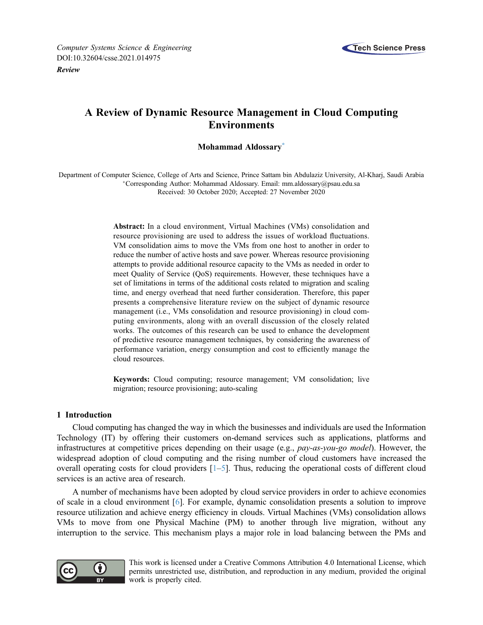

[Review](http://dx.doi.org/10.32604/csse.2021.014975)

# A Review of Dynamic Resource Management in Cloud Computing Environments

# Mohammad Aldossar[y\\*](#page-0-0)

<span id="page-0-0"></span>Department of Computer Science, College of Arts and Science, Prince Sattam bin Abdulaziz University, Al-Kharj, Saudi Arabia Corresponding Author: Mohammad Aldossary. Email: [mm.aldossary@psau.edu.sa](mailto:mm.aldossary@psau.edu.sa) Received: 30 October 2020; Accepted: 27 November 2020

> Abstract: In a cloud environment, Virtual Machines (VMs) consolidation and resource provisioning are used to address the issues of workload fluctuations. VM consolidation aims to move the VMs from one host to another in order to reduce the number of active hosts and save power. Whereas resource provisioning attempts to provide additional resource capacity to the VMs as needed in order to meet Quality of Service (QoS) requirements. However, these techniques have a set of limitations in terms of the additional costs related to migration and scaling time, and energy overhead that need further consideration. Therefore, this paper presents a comprehensive literature review on the subject of dynamic resource management (i.e., VMs consolidation and resource provisioning) in cloud computing environments, along with an overall discussion of the closely related works. The outcomes of this research can be used to enhance the development of predictive resource management techniques, by considering the awareness of performance variation, energy consumption and cost to efficiently manage the cloud resources.

> Keywords: Cloud computing; resource management; VM consolidation; live migration; resource provisioning; auto-scaling

# 1 Introduction

Cloud computing has changed the way in which the businesses and individuals are used the Information Technology (IT) by offering their customers on-demand services such as applications, platforms and infrastructures at competitive prices depending on their usage (e.g., pay-as-you-go model). However, the widespread adoption of cloud computing and the rising number of cloud customers have increased the overall operating costs for cloud providers  $\lceil 1-5 \rceil$  $\lceil 1-5 \rceil$  $\lceil 1-5 \rceil$ . Thus, reducing the operational costs of different cloud services is an active area of research.

A number of mechanisms have been adopted by cloud service providers in order to achieve economies of scale in a cloud environment [\[6\]](#page-12-2). For example, dynamic consolidation presents a solution to improve resource utilization and achieve energy efficiency in clouds. Virtual Machines (VMs) consolidation allows VMs to move from one Physical Machine (PM) to another through live migration, without any interruption to the service. This mechanism plays a major role in load balancing between the PMs and



This work is licensed under a Creative Commons Attribution 4.0 International License, which permits unrestricted use, distribution, and reproduction in any medium, provided the original work is properly cited.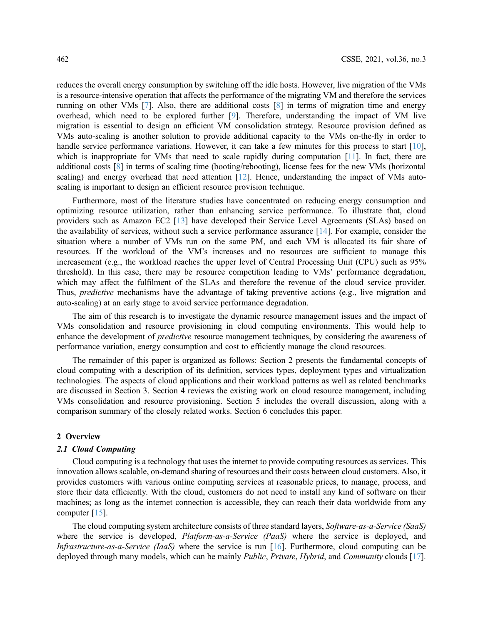reduces the overall energy consumption by switching off the idle hosts. However, live migration of the VMs is a resource-intensive operation that affects the performance of the migrating VM and therefore the services running on other VMs [\[7\]](#page-12-3). Also, there are additional costs [\[8\]](#page-13-0) in terms of migration time and energy overhead, which need to be explored further [[9](#page-13-1)]. Therefore, understanding the impact of VM live migration is essential to design an efficient VM consolidation strategy. Resource provision defined as VMs auto-scaling is another solution to provide additional capacity to the VMs on-the-fly in order to handle service performance variations. However, it can take a few minutes for this process to start [[10\]](#page-13-2), which is inappropriate for VMs that need to scale rapidly during computation [[11\]](#page-13-3). In fact, there are additional costs [\[8\]](#page-13-0) in terms of scaling time (booting/rebooting), license fees for the new VMs (horizontal scaling) and energy overhead that need attention [\[12](#page-13-4)]. Hence, understanding the impact of VMs autoscaling is important to design an efficient resource provision technique.

Furthermore, most of the literature studies have concentrated on reducing energy consumption and optimizing resource utilization, rather than enhancing service performance. To illustrate that, cloud providers such as Amazon EC2 [[13\]](#page-13-5) have developed their Service Level Agreements (SLAs) based on the availability of services, without such a service performance assurance [\[14](#page-13-6)]. For example, consider the situation where a number of VMs run on the same PM, and each VM is allocated its fair share of resources. If the workload of the VM's increases and no resources are sufficient to manage this increasement (e.g., the workload reaches the upper level of Central Processing Unit (CPU) such as 95% threshold). In this case, there may be resource competition leading to VMs' performance degradation, which may affect the fulfilment of the SLAs and therefore the revenue of the cloud service provider. Thus, *predictive* mechanisms have the advantage of taking preventive actions (e.g., live migration and auto-scaling) at an early stage to avoid service performance degradation.

The aim of this research is to investigate the dynamic resource management issues and the impact of VMs consolidation and resource provisioning in cloud computing environments. This would help to enhance the development of *predictive* resource management techniques, by considering the awareness of performance variation, energy consumption and cost to efficiently manage the cloud resources.

The remainder of this paper is organized as follows: Section 2 presents the fundamental concepts of cloud computing with a description of its definition, services types, deployment types and virtualization technologies. The aspects of cloud applications and their workload patterns as well as related benchmarks are discussed in Section 3. Section 4 reviews the existing work on cloud resource management, including VMs consolidation and resource provisioning. Section 5 includes the overall discussion, along with a comparison summary of the closely related works. Section 6 concludes this paper.

#### 2 Overview

# 2.1 Cloud Computing

Cloud computing is a technology that uses the internet to provide computing resources as services. This innovation allows scalable, on-demand sharing of resources and their costs between cloud customers. Also, it provides customers with various online computing services at reasonable prices, to manage, process, and store their data efficiently. With the cloud, customers do not need to install any kind of software on their machines; as long as the internet connection is accessible, they can reach their data worldwide from any computer [[15\]](#page-13-7).

The cloud computing system architecture consists of three standard layers, Software-as-a-Service (SaaS) where the service is developed, *Platform-as-a-Service (PaaS)* where the service is deployed, and Infrastructure-as-a-Service (IaaS) where the service is run [\[16](#page-13-8)]. Furthermore, cloud computing can be deployed through many models, which can be mainly *Public, Private, Hybrid*, and *Community* clouds [[17\]](#page-13-9).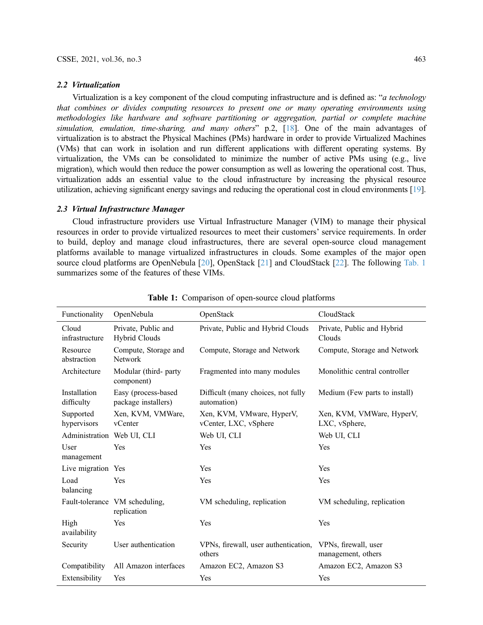#### 2.2 Virtualization

Virtualization is a key component of the cloud computing infrastructure and is defined as: "a technology that combines or divides computing resources to present one or many operating environments using methodologies like hardware and software partitioning or aggregation, partial or complete machine simulation, emulation, time-sharing, and many others"  $p.2$ , [\[18](#page-13-10)]. One of the main advantages of virtualization is to abstract the Physical Machines (PMs) hardware in order to provide Virtualized Machines (VMs) that can work in isolation and run different applications with different operating systems. By virtualization, the VMs can be consolidated to minimize the number of active PMs using (e.g., live migration), which would then reduce the power consumption as well as lowering the operational cost. Thus, virtualization adds an essential value to the cloud infrastructure by increasing the physical resource utilization, achieving significant energy savings and reducing the operational cost in cloud environments [\[19\]](#page-13-11).

# 2.3 Virtual Infrastructure Manager

Cloud infrastructure providers use Virtual Infrastructure Manager (VIM) to manage their physical resources in order to provide virtualized resources to meet their customers' service requirements. In order to build, deploy and manage cloud infrastructures, there are several open-source cloud management platforms available to manage virtualized infrastructures in clouds. Some examples of the major open source cloud platforms are OpenNebula [[20\]](#page-13-12), OpenStack [\[21](#page-13-13)] and CloudStack [\[22](#page-13-14)]. The following [Tab. 1](#page-2-0) summarizes some of the features of these VIMs.

<span id="page-2-0"></span>

| Functionality              | OpenNebula                                    | OpenStack                                          | CloudStack                                 |
|----------------------------|-----------------------------------------------|----------------------------------------------------|--------------------------------------------|
| Cloud<br>infrastructure    | Private, Public and<br>Hybrid Clouds          | Private, Public and Hybrid Clouds                  | Private, Public and Hybrid<br>Clouds       |
| Resource<br>abstraction    | Compute, Storage and<br>Network               | Compute, Storage and Network                       | Compute, Storage and Network               |
| Architecture               | Modular (third- party<br>component)           | Fragmented into many modules                       | Monolithic central controller              |
| Installation<br>difficulty | Easy (process-based<br>package installers)    | Difficult (many choices, not fully<br>automation)  | Medium (Few parts to install)              |
| Supported<br>hypervisors   | Xen, KVM, VMWare,<br>vCenter                  | Xen, KVM, VMware, HyperV,<br>vCenter, LXC, vSphere | Xen, KVM, VMWare, HyperV,<br>LXC, vSphere, |
| Administration Web UI, CLI |                                               | Web UI, CLI                                        | Web UI, CLI                                |
| User<br>management         | Yes                                           | Yes                                                | Yes                                        |
| Live migration Yes         |                                               | Yes                                                | Yes                                        |
| Load<br>balancing          | Yes                                           | Yes                                                | Yes                                        |
|                            | Fault-tolerance VM scheduling,<br>replication | VM scheduling, replication                         | VM scheduling, replication                 |
| High<br>availability       | Yes                                           | Yes                                                | Yes                                        |
| Security                   | User authentication                           | VPNs, firewall, user authentication,<br>others     | VPNs, firewall, user<br>management, others |
| Compatibility              | All Amazon interfaces                         | Amazon EC2, Amazon S3                              | Amazon EC2, Amazon S3                      |
| Extensibility              | Yes                                           | Yes                                                | Yes                                        |

Table 1: Comparison of open-source cloud platforms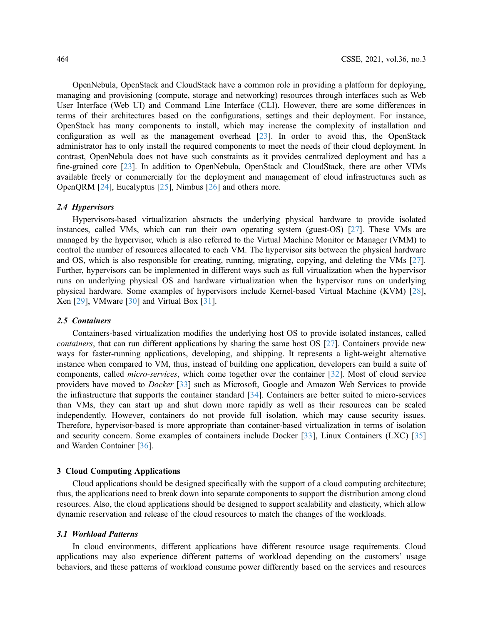OpenNebula, OpenStack and CloudStack have a common role in providing a platform for deploying, managing and provisioning (compute, storage and networking) resources through interfaces such as Web User Interface (Web UI) and Command Line Interface (CLI). However, there are some differences in terms of their architectures based on the configurations, settings and their deployment. For instance, OpenStack has many components to install, which may increase the complexity of installation and configuration as well as the management overhead [[23\]](#page-13-15). In order to avoid this, the OpenStack administrator has to only install the required components to meet the needs of their cloud deployment. In contrast, OpenNebula does not have such constraints as it provides centralized deployment and has a fine-grained core [[23\]](#page-13-15). In addition to OpenNebula, OpenStack and CloudStack, there are other VIMs available freely or commercially for the deployment and management of cloud infrastructures such as OpenQRM [\[24](#page-13-16)], Eucalyptus [[25\]](#page-13-17), Nimbus [[26\]](#page-13-18) and others more.

### 2.4 Hypervisors

Hypervisors-based virtualization abstracts the underlying physical hardware to provide isolated instances, called VMs, which can run their own operating system (guest-OS) [[27\]](#page-13-19). These VMs are managed by the hypervisor, which is also referred to the Virtual Machine Monitor or Manager (VMM) to control the number of resources allocated to each VM. The hypervisor sits between the physical hardware and OS, which is also responsible for creating, running, migrating, copying, and deleting the VMs [[27\]](#page-13-19). Further, hypervisors can be implemented in different ways such as full virtualization when the hypervisor runs on underlying physical OS and hardware virtualization when the hypervisor runs on underlying physical hardware. Some examples of hypervisors include Kernel-based Virtual Machine (KVM) [[28\]](#page-13-20), Xen [[29\]](#page-13-21), VMware [[30\]](#page-13-22) and Virtual Box [[31\]](#page-13-23).

# 2.5 Containers

Containers-based virtualization modifies the underlying host OS to provide isolated instances, called containers, that can run different applications by sharing the same host OS [[27\]](#page-13-19). Containers provide new ways for faster-running applications, developing, and shipping. It represents a light-weight alternative instance when compared to VM, thus, instead of building one application, developers can build a suite of components, called micro-services, which come together over the container [[32\]](#page-13-24). Most of cloud service providers have moved to *Docker* [[33\]](#page-13-25) such as Microsoft, Google and Amazon Web Services to provide the infrastructure that supports the container standard [\[34](#page-14-0)]. Containers are better suited to micro-services than VMs, they can start up and shut down more rapidly as well as their resources can be scaled independently. However, containers do not provide full isolation, which may cause security issues. Therefore, hypervisor-based is more appropriate than container-based virtualization in terms of isolation and security concern. Some examples of containers include Docker [\[33](#page-13-25)], Linux Containers (LXC) [[35\]](#page-14-1) and Warden Container [\[36](#page-14-2)].

## 3 Cloud Computing Applications

Cloud applications should be designed specifically with the support of a cloud computing architecture; thus, the applications need to break down into separate components to support the distribution among cloud resources. Also, the cloud applications should be designed to support scalability and elasticity, which allow dynamic reservation and release of the cloud resources to match the changes of the workloads.

#### 3.1 Workload Patterns

In cloud environments, different applications have different resource usage requirements. Cloud applications may also experience different patterns of workload depending on the customers' usage behaviors, and these patterns of workload consume power differently based on the services and resources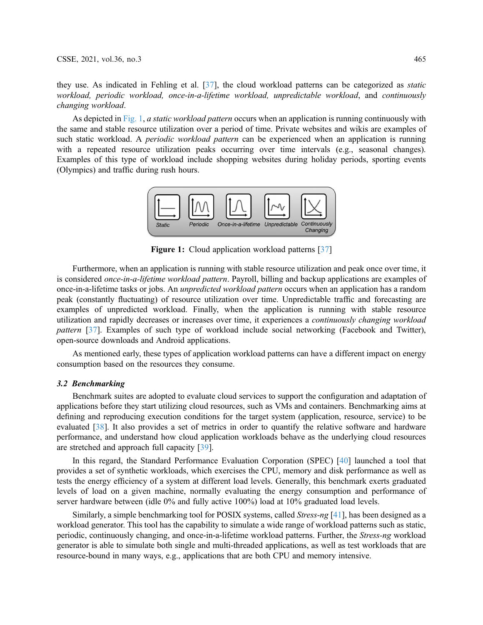they use. As indicated in Fehling et al. [[37\]](#page-14-3), the cloud workload patterns can be categorized as static workload, periodic workload, once-in-a-lifetime workload, unpredictable workload, and continuously changing workload.

<span id="page-4-0"></span>As depicted in [Fig. 1](#page-4-0), a static workload pattern occurs when an application is running continuously with the same and stable resource utilization over a period of time. Private websites and wikis are examples of such static workload. A *periodic workload pattern* can be experienced when an application is running with a repeated resource utilization peaks occurring over time intervals (e.g., seasonal changes). Examples of this type of workload include shopping websites during holiday periods, sporting events (Olympics) and traffic during rush hours.



**Figure 1:** Cloud application workload patterns [\[37](#page-14-3)]

Furthermore, when an application is running with stable resource utilization and peak once over time, it is considered *once-in-a-lifetime workload pattern*. Payroll, billing and backup applications are examples of once-in-a-lifetime tasks or jobs. An unpredicted workload pattern occurs when an application has a random peak (constantly fluctuating) of resource utilization over time. Unpredictable traffic and forecasting are examples of unpredicted workload. Finally, when the application is running with stable resource utilization and rapidly decreases or increases over time, it experiences a continuously changing workload pattern [\[37](#page-14-3)]. Examples of such type of workload include social networking (Facebook and Twitter), open-source downloads and Android applications.

As mentioned early, these types of application workload patterns can have a different impact on energy consumption based on the resources they consume.

# 3.2 Benchmarking

Benchmark suites are adopted to evaluate cloud services to support the configuration and adaptation of applications before they start utilizing cloud resources, such as VMs and containers. Benchmarking aims at defining and reproducing execution conditions for the target system (application, resource, service) to be evaluated [\[38](#page-14-4)]. It also provides a set of metrics in order to quantify the relative software and hardware performance, and understand how cloud application workloads behave as the underlying cloud resources are stretched and approach full capacity [[39\]](#page-14-5).

In this regard, the Standard Performance Evaluation Corporation (SPEC) [[40](#page-14-6)] launched a tool that provides a set of synthetic workloads, which exercises the CPU, memory and disk performance as well as tests the energy efficiency of a system at different load levels. Generally, this benchmark exerts graduated levels of load on a given machine, normally evaluating the energy consumption and performance of server hardware between (idle 0% and fully active 100%) load at 10% graduated load levels.

Similarly, a simple benchmarking tool for POSIX systems, called Stress-ng [[41\]](#page-14-7), has been designed as a workload generator. This tool has the capability to simulate a wide range of workload patterns such as static, periodic, continuously changing, and once-in-a-lifetime workload patterns. Further, the Stress-ng workload generator is able to simulate both single and multi-threaded applications, as well as test workloads that are resource-bound in many ways, e.g., applications that are both CPU and memory intensive.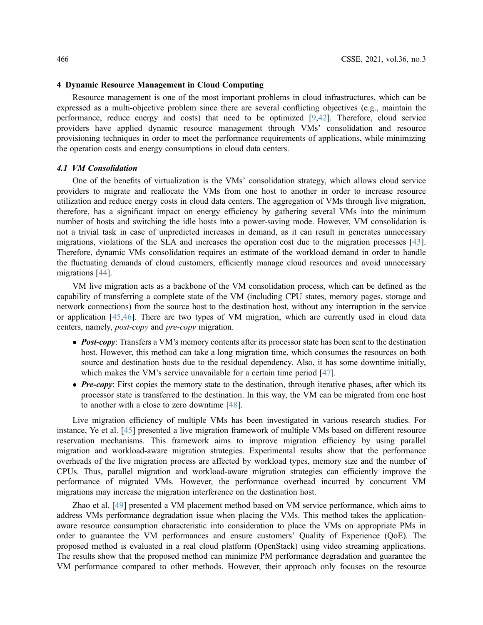# 4 Dynamic Resource Management in Cloud Computing

Resource management is one of the most important problems in cloud infrastructures, which can be expressed as a multi-objective problem since there are several conflicting objectives (e.g., maintain the performance, reduce energy and costs) that need to be optimized [\[9,](#page-13-1)[42\]](#page-14-8). Therefore, cloud service providers have applied dynamic resource management through VMs' consolidation and resource provisioning techniques in order to meet the performance requirements of applications, while minimizing the operation costs and energy consumptions in cloud data centers.

### 4.1 VM Consolidation

One of the benefits of virtualization is the VMs' consolidation strategy, which allows cloud service providers to migrate and reallocate the VMs from one host to another in order to increase resource utilization and reduce energy costs in cloud data centers. The aggregation of VMs through live migration, therefore, has a significant impact on energy efficiency by gathering several VMs into the minimum number of hosts and switching the idle hosts into a power-saving mode. However, VM consolidation is not a trivial task in case of unpredicted increases in demand, as it can result in generates unnecessary migrations, violations of the SLA and increases the operation cost due to the migration processes [[43\]](#page-14-9). Therefore, dynamic VMs consolidation requires an estimate of the workload demand in order to handle the fluctuating demands of cloud customers, efficiently manage cloud resources and avoid unnecessary migrations [\[44](#page-14-10)].

VM live migration acts as a backbone of the VM consolidation process, which can be defined as the capability of transferring a complete state of the VM (including CPU states, memory pages, storage and network connections) from the source host to the destination host, without any interruption in the service or application [\[45](#page-14-11)[,46](#page-14-12)]. There are two types of VM migration, which are currently used in cloud data centers, namely, post-copy and pre-copy migration.

- Post-copy: Transfers a VM's memory contents after its processor state has been sent to the destination host. However, this method can take a long migration time, which consumes the resources on both source and destination hosts due to the residual dependency. Also, it has some downtime initially, which makes the VM's service unavailable for a certain time period [[47\]](#page-14-13).
- $\bullet$  **Pre-copy**: First copies the memory state to the destination, through iterative phases, after which its processor state is transferred to the destination. In this way, the VM can be migrated from one host to another with a close to zero downtime [\[48](#page-14-14)].

Live migration efficiency of multiple VMs has been investigated in various research studies. For instance, Ye et al. [\[45](#page-14-11)] presented a live migration framework of multiple VMs based on different resource reservation mechanisms. This framework aims to improve migration efficiency by using parallel migration and workload-aware migration strategies. Experimental results show that the performance overheads of the live migration process are affected by workload types, memory size and the number of CPUs. Thus, parallel migration and workload-aware migration strategies can efficiently improve the performance of migrated VMs. However, the performance overhead incurred by concurrent VM migrations may increase the migration interference on the destination host.

Zhao et al. [[49\]](#page-14-15) presented a VM placement method based on VM service performance, which aims to address VMs performance degradation issue when placing the VMs. This method takes the applicationaware resource consumption characteristic into consideration to place the VMs on appropriate PMs in order to guarantee the VM performances and ensure customers' Quality of Experience (QoE). The proposed method is evaluated in a real cloud platform (OpenStack) using video streaming applications. The results show that the proposed method can minimize PM performance degradation and guarantee the VM performance compared to other methods. However, their approach only focuses on the resource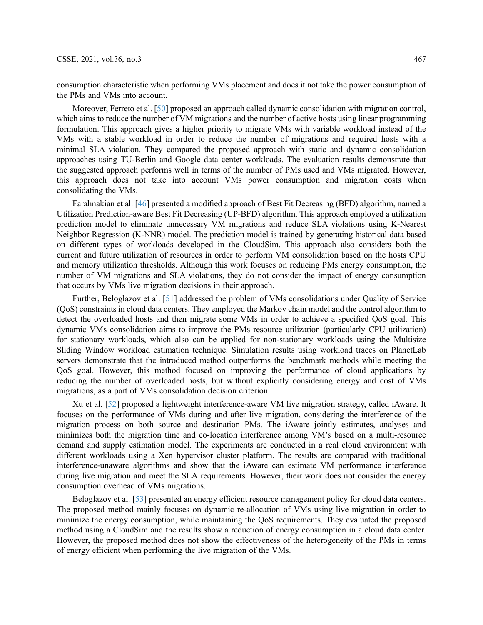consumption characteristic when performing VMs placement and does it not take the power consumption of the PMs and VMs into account.

Moreover, Ferreto et al. [\[50\]](#page-14-16) proposed an approach called dynamic consolidation with migration control, which aims to reduce the number of VM migrations and the number of active hosts using linear programming formulation. This approach gives a higher priority to migrate VMs with variable workload instead of the VMs with a stable workload in order to reduce the number of migrations and required hosts with a minimal SLA violation. They compared the proposed approach with static and dynamic consolidation approaches using TU-Berlin and Google data center workloads. The evaluation results demonstrate that the suggested approach performs well in terms of the number of PMs used and VMs migrated. However, this approach does not take into account VMs power consumption and migration costs when consolidating the VMs.

Farahnakian et al. [[46\]](#page-14-12) presented a modified approach of Best Fit Decreasing (BFD) algorithm, named a Utilization Prediction-aware Best Fit Decreasing (UP-BFD) algorithm. This approach employed a utilization prediction model to eliminate unnecessary VM migrations and reduce SLA violations using K-Nearest Neighbor Regression (K-NNR) model. The prediction model is trained by generating historical data based on different types of workloads developed in the CloudSim. This approach also considers both the current and future utilization of resources in order to perform VM consolidation based on the hosts CPU and memory utilization thresholds. Although this work focuses on reducing PMs energy consumption, the number of VM migrations and SLA violations, they do not consider the impact of energy consumption that occurs by VMs live migration decisions in their approach.

Further, Beloglazov et al. [[51\]](#page-14-17) addressed the problem of VMs consolidations under Quality of Service (QoS) constraints in cloud data centers. They employed the Markov chain model and the control algorithm to detect the overloaded hosts and then migrate some VMs in order to achieve a specified QoS goal. This dynamic VMs consolidation aims to improve the PMs resource utilization (particularly CPU utilization) for stationary workloads, which also can be applied for non-stationary workloads using the Multisize Sliding Window workload estimation technique. Simulation results using workload traces on PlanetLab servers demonstrate that the introduced method outperforms the benchmark methods while meeting the QoS goal. However, this method focused on improving the performance of cloud applications by reducing the number of overloaded hosts, but without explicitly considering energy and cost of VMs migrations, as a part of VMs consolidation decision criterion.

Xu et al. [[52\]](#page-14-18) proposed a lightweight interference-aware VM live migration strategy, called iAware. It focuses on the performance of VMs during and after live migration, considering the interference of the migration process on both source and destination PMs. The iAware jointly estimates, analyses and minimizes both the migration time and co-location interference among VM's based on a multi-resource demand and supply estimation model. The experiments are conducted in a real cloud environment with different workloads using a Xen hypervisor cluster platform. The results are compared with traditional interference-unaware algorithms and show that the iAware can estimate VM performance interference during live migration and meet the SLA requirements. However, their work does not consider the energy consumption overhead of VMs migrations.

Beloglazov et al. [\[53](#page-14-19)] presented an energy efficient resource management policy for cloud data centers. The proposed method mainly focuses on dynamic re-allocation of VMs using live migration in order to minimize the energy consumption, while maintaining the QoS requirements. They evaluated the proposed method using a CloudSim and the results show a reduction of energy consumption in a cloud data center. However, the proposed method does not show the effectiveness of the heterogeneity of the PMs in terms of energy efficient when performing the live migration of the VMs.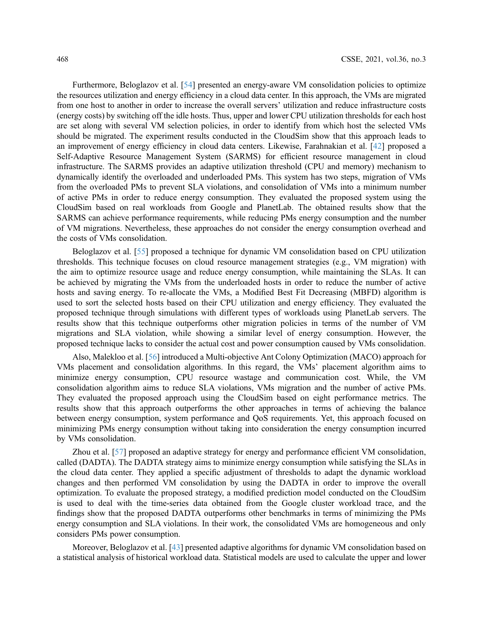Furthermore, Beloglazov et al. [\[54](#page-14-20)] presented an energy-aware VM consolidation policies to optimize the resources utilization and energy efficiency in a cloud data center. In this approach, the VMs are migrated from one host to another in order to increase the overall servers' utilization and reduce infrastructure costs (energy costs) by switching off the idle hosts. Thus, upper and lower CPU utilization thresholds for each host are set along with several VM selection policies, in order to identify from which host the selected VMs should be migrated. The experiment results conducted in the CloudSim show that this approach leads to an improvement of energy efficiency in cloud data centers. Likewise, Farahnakian et al. [\[42](#page-14-8)] proposed a Self-Adaptive Resource Management System (SARMS) for efficient resource management in cloud infrastructure. The SARMS provides an adaptive utilization threshold (CPU and memory) mechanism to dynamically identify the overloaded and underloaded PMs. This system has two steps, migration of VMs from the overloaded PMs to prevent SLA violations, and consolidation of VMs into a minimum number of active PMs in order to reduce energy consumption. They evaluated the proposed system using the CloudSim based on real workloads from Google and PlanetLab. The obtained results show that the SARMS can achieve performance requirements, while reducing PMs energy consumption and the number of VM migrations. Nevertheless, these approaches do not consider the energy consumption overhead and the costs of VMs consolidation.

Beloglazov et al. [[55\]](#page-15-0) proposed a technique for dynamic VM consolidation based on CPU utilization thresholds. This technique focuses on cloud resource management strategies (e.g., VM migration) with the aim to optimize resource usage and reduce energy consumption, while maintaining the SLAs. It can be achieved by migrating the VMs from the underloaded hosts in order to reduce the number of active hosts and saving energy. To re-allocate the VMs, a Modified Best Fit Decreasing (MBFD) algorithm is used to sort the selected hosts based on their CPU utilization and energy efficiency. They evaluated the proposed technique through simulations with different types of workloads using PlanetLab servers. The results show that this technique outperforms other migration policies in terms of the number of VM migrations and SLA violation, while showing a similar level of energy consumption. However, the proposed technique lacks to consider the actual cost and power consumption caused by VMs consolidation.

Also, Malekloo et al. [\[56](#page-15-1)] introduced a Multi-objective Ant Colony Optimization (MACO) approach for VMs placement and consolidation algorithms. In this regard, the VMs' placement algorithm aims to minimize energy consumption, CPU resource wastage and communication cost. While, the VM consolidation algorithm aims to reduce SLA violations, VMs migration and the number of active PMs. They evaluated the proposed approach using the CloudSim based on eight performance metrics. The results show that this approach outperforms the other approaches in terms of achieving the balance between energy consumption, system performance and QoS requirements. Yet, this approach focused on minimizing PMs energy consumption without taking into consideration the energy consumption incurred by VMs consolidation.

Zhou et al. [[57\]](#page-15-2) proposed an adaptive strategy for energy and performance efficient VM consolidation, called (DADTA). The DADTA strategy aims to minimize energy consumption while satisfying the SLAs in the cloud data center. They applied a specific adjustment of thresholds to adapt the dynamic workload changes and then performed VM consolidation by using the DADTA in order to improve the overall optimization. To evaluate the proposed strategy, a modified prediction model conducted on the CloudSim is used to deal with the time-series data obtained from the Google cluster workload trace, and the findings show that the proposed DADTA outperforms other benchmarks in terms of minimizing the PMs energy consumption and SLA violations. In their work, the consolidated VMs are homogeneous and only considers PMs power consumption.

Moreover, Beloglazov et al. [[43\]](#page-14-9) presented adaptive algorithms for dynamic VM consolidation based on a statistical analysis of historical workload data. Statistical models are used to calculate the upper and lower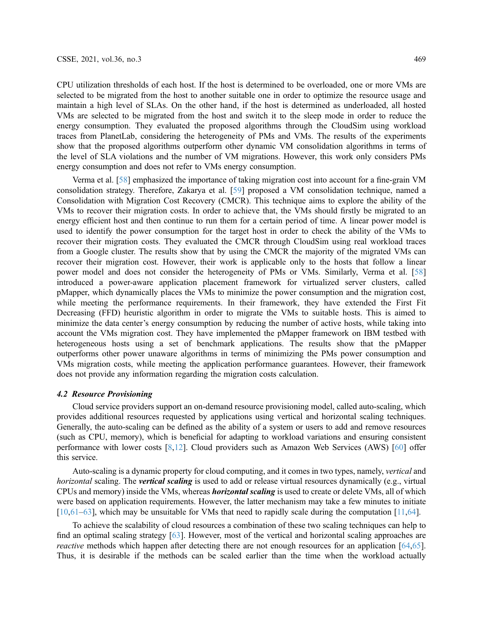CPU utilization thresholds of each host. If the host is determined to be overloaded, one or more VMs are selected to be migrated from the host to another suitable one in order to optimize the resource usage and maintain a high level of SLAs. On the other hand, if the host is determined as underloaded, all hosted VMs are selected to be migrated from the host and switch it to the sleep mode in order to reduce the energy consumption. They evaluated the proposed algorithms through the CloudSim using workload traces from PlanetLab, considering the heterogeneity of PMs and VMs. The results of the experiments show that the proposed algorithms outperform other dynamic VM consolidation algorithms in terms of the level of SLA violations and the number of VM migrations. However, this work only considers PMs energy consumption and does not refer to VMs energy consumption.

Verma et al. [[58\]](#page-15-3) emphasized the importance of taking migration cost into account for a fine-grain VM consolidation strategy. Therefore, Zakarya et al. [[59](#page-15-4)] proposed a VM consolidation technique, named a Consolidation with Migration Cost Recovery (CMCR). This technique aims to explore the ability of the VMs to recover their migration costs. In order to achieve that, the VMs should firstly be migrated to an energy efficient host and then continue to run them for a certain period of time. A linear power model is used to identify the power consumption for the target host in order to check the ability of the VMs to recover their migration costs. They evaluated the CMCR through CloudSim using real workload traces from a Google cluster. The results show that by using the CMCR the majority of the migrated VMs can recover their migration cost. However, their work is applicable only to the hosts that follow a linear power model and does not consider the heterogeneity of PMs or VMs. Similarly, Verma et al. [[58\]](#page-15-3) introduced a power-aware application placement framework for virtualized server clusters, called pMapper, which dynamically places the VMs to minimize the power consumption and the migration cost, while meeting the performance requirements. In their framework, they have extended the First Fit Decreasing (FFD) heuristic algorithm in order to migrate the VMs to suitable hosts. This is aimed to minimize the data center's energy consumption by reducing the number of active hosts, while taking into account the VMs migration cost. They have implemented the pMapper framework on IBM testbed with heterogeneous hosts using a set of benchmark applications. The results show that the pMapper outperforms other power unaware algorithms in terms of minimizing the PMs power consumption and VMs migration costs, while meeting the application performance guarantees. However, their framework does not provide any information regarding the migration costs calculation.

#### 4.2 Resource Provisioning

Cloud service providers support an on-demand resource provisioning model, called auto-scaling, which provides additional resources requested by applications using vertical and horizontal scaling techniques. Generally, the auto-scaling can be defined as the ability of a system or users to add and remove resources (such as CPU, memory), which is beneficial for adapting to workload variations and ensuring consistent performance with lower costs [[8](#page-13-0)[,12](#page-13-4)]. Cloud providers such as Amazon Web Services (AWS) [[60\]](#page-15-5) offer this service.

Auto-scaling is a dynamic property for cloud computing, and it comes in two types, namely, vertical and horizontal scaling. The vertical scaling is used to add or release virtual resources dynamically (e.g., virtual CPUs and memory) inside the VMs, whereas horizontal scaling is used to create or delete VMs, all of which were based on application requirements. However, the latter mechanism may take a few minutes to initiate [[10](#page-13-2)[,61](#page-15-6)–[63\]](#page-15-7), which may be unsuitable for VMs that need to rapidly scale during the computation [\[11,](#page-13-3)[64\]](#page-15-8).

To achieve the scalability of cloud resources a combination of these two scaling techniques can help to find an optimal scaling strategy [\[63](#page-15-7)]. However, most of the vertical and horizontal scaling approaches are reactive methods which happen after detecting there are not enough resources for an application [\[64](#page-15-8),[65\]](#page-15-9). Thus, it is desirable if the methods can be scaled earlier than the time when the workload actually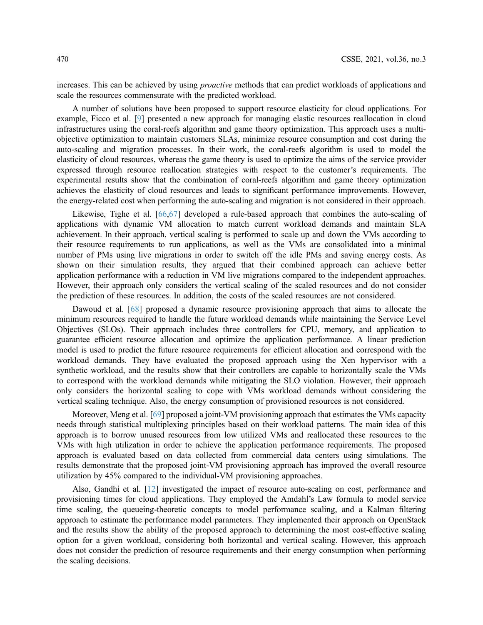increases. This can be achieved by using *proactive* methods that can predict workloads of applications and scale the resources commensurate with the predicted workload.

A number of solutions have been proposed to support resource elasticity for cloud applications. For example, Ficco et al. [[9](#page-13-1)] presented a new approach for managing elastic resources reallocation in cloud infrastructures using the coral-reefs algorithm and game theory optimization. This approach uses a multiobjective optimization to maintain customers SLAs, minimize resource consumption and cost during the auto-scaling and migration processes. In their work, the coral-reefs algorithm is used to model the elasticity of cloud resources, whereas the game theory is used to optimize the aims of the service provider expressed through resource reallocation strategies with respect to the customer's requirements. The experimental results show that the combination of coral-reefs algorithm and game theory optimization achieves the elasticity of cloud resources and leads to significant performance improvements. However, the energy-related cost when performing the auto-scaling and migration is not considered in their approach.

Likewise, Tighe et al. [[66](#page-15-10)[,67](#page-15-11)] developed a rule-based approach that combines the auto-scaling of applications with dynamic VM allocation to match current workload demands and maintain SLA achievement. In their approach, vertical scaling is performed to scale up and down the VMs according to their resource requirements to run applications, as well as the VMs are consolidated into a minimal number of PMs using live migrations in order to switch off the idle PMs and saving energy costs. As shown on their simulation results, they argued that their combined approach can achieve better application performance with a reduction in VM live migrations compared to the independent approaches. However, their approach only considers the vertical scaling of the scaled resources and do not consider the prediction of these resources. In addition, the costs of the scaled resources are not considered.

Dawoud et al. [[68\]](#page-15-12) proposed a dynamic resource provisioning approach that aims to allocate the minimum resources required to handle the future workload demands while maintaining the Service Level Objectives (SLOs). Their approach includes three controllers for CPU, memory, and application to guarantee efficient resource allocation and optimize the application performance. A linear prediction model is used to predict the future resource requirements for efficient allocation and correspond with the workload demands. They have evaluated the proposed approach using the Xen hypervisor with a synthetic workload, and the results show that their controllers are capable to horizontally scale the VMs to correspond with the workload demands while mitigating the SLO violation. However, their approach only considers the horizontal scaling to cope with VMs workload demands without considering the vertical scaling technique. Also, the energy consumption of provisioned resources is not considered.

Moreover, Meng et al. [[69\]](#page-15-13) proposed a joint-VM provisioning approach that estimates the VMs capacity needs through statistical multiplexing principles based on their workload patterns. The main idea of this approach is to borrow unused resources from low utilized VMs and reallocated these resources to the VMs with high utilization in order to achieve the application performance requirements. The proposed approach is evaluated based on data collected from commercial data centers using simulations. The results demonstrate that the proposed joint-VM provisioning approach has improved the overall resource utilization by 45% compared to the individual-VM provisioning approaches.

Also, Gandhi et al. [[12\]](#page-13-4) investigated the impact of resource auto-scaling on cost, performance and provisioning times for cloud applications. They employed the Amdahl's Law formula to model service time scaling, the queueing-theoretic concepts to model performance scaling, and a Kalman filtering approach to estimate the performance model parameters. They implemented their approach on OpenStack and the results show the ability of the proposed approach to determining the most cost-effective scaling option for a given workload, considering both horizontal and vertical scaling. However, this approach does not consider the prediction of resource requirements and their energy consumption when performing the scaling decisions.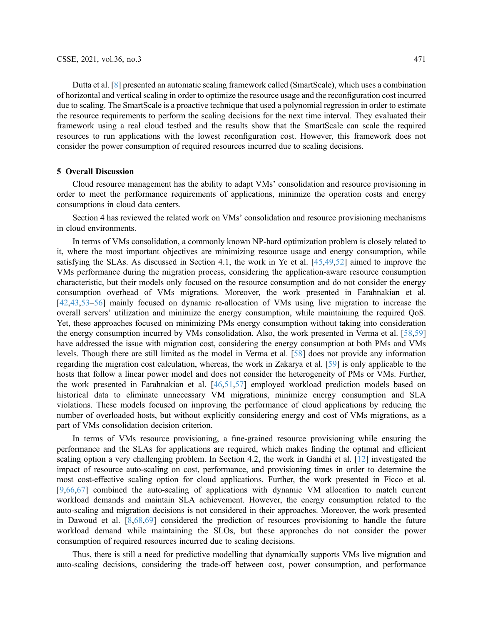Dutta et al. [[8](#page-13-0)] presented an automatic scaling framework called (SmartScale), which uses a combination of horizontal and vertical scaling in order to optimize the resource usage and the reconfiguration cost incurred due to scaling. The SmartScale is a proactive technique that used a polynomial regression in order to estimate the resource requirements to perform the scaling decisions for the next time interval. They evaluated their framework using a real cloud testbed and the results show that the SmartScale can scale the required resources to run applications with the lowest reconfiguration cost. However, this framework does not consider the power consumption of required resources incurred due to scaling decisions.

## 5 Overall Discussion

Cloud resource management has the ability to adapt VMs' consolidation and resource provisioning in order to meet the performance requirements of applications, minimize the operation costs and energy consumptions in cloud data centers.

Section 4 has reviewed the related work on VMs' consolidation and resource provisioning mechanisms in cloud environments.

In terms of VMs consolidation, a commonly known NP-hard optimization problem is closely related to it, where the most important objectives are minimizing resource usage and energy consumption, while satisfying the SLAs. As discussed in Section 4.1, the work in Ye et al. [\[45](#page-14-11)[,49,](#page-14-15)[52\]](#page-14-18) aimed to improve the VMs performance during the migration process, considering the application-aware resource consumption characteristic, but their models only focused on the resource consumption and do not consider the energy consumption overhead of VMs migrations. Moreover, the work presented in Farahnakian et al. [[42](#page-14-8)[,43](#page-14-9),[53](#page-14-19)–[56](#page-15-1)] mainly focused on dynamic re-allocation of VMs using live migration to increase the overall servers' utilization and minimize the energy consumption, while maintaining the required QoS. Yet, these approaches focused on minimizing PMs energy consumption without taking into consideration the energy consumption incurred by VMs consolidation. Also, the work presented in Verma et al. [[58,](#page-15-3)[59\]](#page-15-4) have addressed the issue with migration cost, considering the energy consumption at both PMs and VMs levels. Though there are still limited as the model in Verma et al. [[58\]](#page-15-3) does not provide any information regarding the migration cost calculation, whereas, the work in Zakarya et al. [\[59](#page-15-4)] is only applicable to the hosts that follow a linear power model and does not consider the heterogeneity of PMs or VMs. Further, the work presented in Farahnakian et al. [[46,](#page-14-12)[51](#page-14-17)[,57](#page-15-2)] employed workload prediction models based on historical data to eliminate unnecessary VM migrations, minimize energy consumption and SLA violations. These models focused on improving the performance of cloud applications by reducing the number of overloaded hosts, but without explicitly considering energy and cost of VMs migrations, as a part of VMs consolidation decision criterion.

In terms of VMs resource provisioning, a fine-grained resource provisioning while ensuring the performance and the SLAs for applications are required, which makes finding the optimal and efficient scaling option a very challenging problem. In Section 4.2, the work in Gandhi et al. [[12\]](#page-13-4) investigated the impact of resource auto-scaling on cost, performance, and provisioning times in order to determine the most cost-effective scaling option for cloud applications. Further, the work presented in Ficco et al. [[9](#page-13-1),[66](#page-15-10)[,67](#page-15-11)] combined the auto-scaling of applications with dynamic VM allocation to match current workload demands and maintain SLA achievement. However, the energy consumption related to the auto-scaling and migration decisions is not considered in their approaches. Moreover, the work presented in Dawoud et al. [[8](#page-13-0)[,68,](#page-15-12)[69\]](#page-15-13) considered the prediction of resources provisioning to handle the future workload demand while maintaining the SLOs, but these approaches do not consider the power consumption of required resources incurred due to scaling decisions.

Thus, there is still a need for predictive modelling that dynamically supports VMs live migration and auto-scaling decisions, considering the trade-off between cost, power consumption, and performance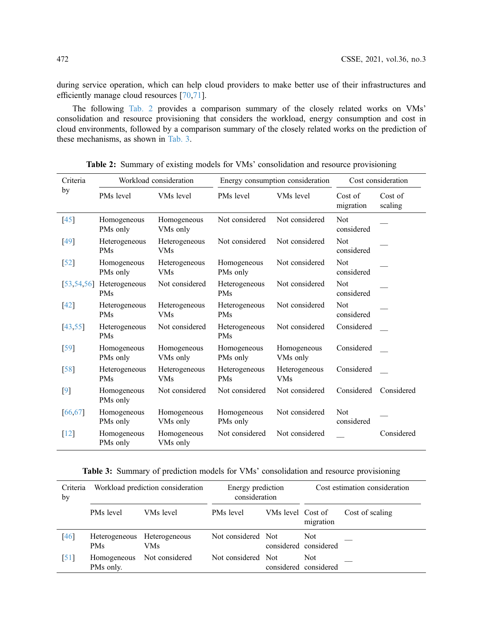during service operation, which can help cloud providers to make better use of their infrastructures and efficiently manage cloud resources [\[70](#page-15-14),[71\]](#page-15-15).

The following [Tab. 2](#page-11-0) provides a comparison summary of the closely related works on VMs' consolidation and resource provisioning that considers the workload, energy consumption and cost in cloud environments, followed by a comparison summary of the closely related works on the prediction of these mechanisms, as shown in [Tab. 3.](#page-11-1)

<span id="page-11-0"></span>

| Criteria           | Workload consideration                           |                             |                             | Energy consumption consideration | Cost consideration       |            |
|--------------------|--------------------------------------------------|-----------------------------|-----------------------------|----------------------------------|--------------------------|------------|
| by                 | PMs level<br>VMs level<br>PMs level<br>VMs level |                             |                             | Cost of<br>migration             | Cost of<br>scaling       |            |
| [45]               | Homogeneous<br>PMs only                          | Homogeneous<br>VMs only     | Not considered              | Not considered                   | <b>Not</b><br>considered |            |
| $[49]$             | Heterogeneous<br><b>PMs</b>                      | Heterogeneous<br><b>VMs</b> | Not considered              | Not considered                   | Not<br>considered        |            |
| $\left[52\right]$  | Homogeneous<br>PMs only                          | Heterogeneous<br><b>VMs</b> | Homogeneous<br>PMs only     | Not considered                   | Not<br>considered        |            |
| [53, 54, 56]       | Heterogeneous<br><b>PMs</b>                      | Not considered              | Heterogeneous<br><b>PMs</b> | Not considered                   | <b>Not</b><br>considered |            |
| [42]               | Heterogeneous<br>PMs                             | Heterogeneous<br>VMs        | Heterogeneous<br>PMs        | Not considered                   | Not<br>considered        |            |
| [43, 55]           | Heterogeneous<br><b>PMs</b>                      | Not considered              | Heterogeneous<br>PMs        | Not considered                   | Considered               |            |
| $\left[59\right]$  | Homogeneous<br>PMs only                          | Homogeneous<br>VMs only     | Homogeneous<br>PMs only     | Homogeneous<br>VMs only          | Considered               |            |
| $\lceil 58 \rceil$ | Heterogeneous<br><b>PMs</b>                      | Heterogeneous<br><b>VMs</b> | Heterogeneous<br>PMs        | Heterogeneous<br><b>VMs</b>      | Considered               |            |
| [9]                | Homogeneous<br>PMs only                          | Not considered              | Not considered              | Not considered                   | Considered               | Considered |
| 66,67              | Homogeneous<br>PMs only                          | Homogeneous<br>VMs only     | Homogeneous<br>PMs only     | Not considered                   | Not<br>considered        |            |
| $\lceil 12 \rceil$ | Homogeneous<br>PMs only                          | Homogeneous<br>VMs only     | Not considered              | Not considered                   |                          | Considered |

Table 2: Summary of existing models for VMs' consolidation and resource provisioning

<span id="page-11-1"></span>Table 3: Summary of prediction models for VMs' consolidation and resource provisioning

| Criteria<br>by     | Workload prediction consideration |                                     | Energy prediction<br>consideration |                   | Cost estimation consideration |                 |
|--------------------|-----------------------------------|-------------------------------------|------------------------------------|-------------------|-------------------------------|-----------------|
|                    | PM <sub>s</sub> level             | VMs level                           | PMs level                          | VMs level Cost of | migration                     | Cost of scaling |
| [46]               | <b>PMs</b>                        | Heterogeneous Heterogeneous<br>VMs. | Not considered Not                 |                   | Not.<br>considered considered |                 |
| $\lceil 51 \rceil$ | Homogeneous<br>PMs only.          | Not considered                      | Not considered Not                 |                   | Not.<br>considered considered |                 |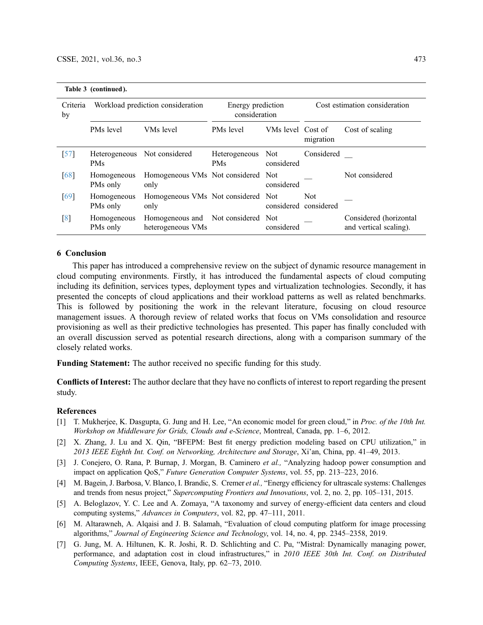Table 3 (continued ).

| Criteria<br>by     | Workload prediction consideration |                                                         | Energy prediction<br>consideration |                   | Cost estimation consideration       |                                                  |
|--------------------|-----------------------------------|---------------------------------------------------------|------------------------------------|-------------------|-------------------------------------|--------------------------------------------------|
|                    | PMs level                         | VMs level                                               | PMs level                          | VMs level Cost of | migration                           | Cost of scaling                                  |
| $\left[57\right]$  | <b>PMs</b>                        | Heterogeneous Not considered                            | Heterogeneous Not<br><b>PMs</b>    | considered        | Considered                          |                                                  |
| 68                 | Homogeneous<br>PMs only           | Homogeneous VMs Not considered Not<br>only              |                                    | considered        |                                     | Not considered                                   |
| $\lceil 69 \rceil$ | Homogeneous<br>PMs only           | Homogeneous VMs Not considered Not<br>only              |                                    |                   | <b>Not</b><br>considered considered |                                                  |
| $\lceil 8 \rceil$  | Homogeneous<br>PMs only           | Homogeneous and Not considered Not<br>heterogeneous VMs |                                    | considered        |                                     | Considered (horizontal<br>and vertical scaling). |

# 6 Conclusion

This paper has introduced a comprehensive review on the subject of dynamic resource management in cloud computing environments. Firstly, it has introduced the fundamental aspects of cloud computing including its definition, services types, deployment types and virtualization technologies. Secondly, it has presented the concepts of cloud applications and their workload patterns as well as related benchmarks. This is followed by positioning the work in the relevant literature, focusing on cloud resource management issues. A thorough review of related works that focus on VMs consolidation and resource provisioning as well as their predictive technologies has presented. This paper has finally concluded with an overall discussion served as potential research directions, along with a comparison summary of the closely related works.

Funding Statement: The author received no specific funding for this study.

Conflicts of Interest: The author declare that they have no conflicts of interest to report regarding the present study.

#### References

- <span id="page-12-0"></span>[1] T. Mukherjee, K. Dasgupta, G. Jung and H. Lee, "An economic model for green cloud," in *Proc. of the 10th Int.* Workshop on Middleware for Grids, Clouds and e-Science, Montreal, Canada, pp. 1–6, 2012.
- [2] X. Zhang, J. Lu and X. Qin, "BFEPM: Best fit energy prediction modeling based on CPU utilization," in 2013 IEEE Eighth Int. Conf. on Networking, Architecture and Storage, Xi'an, China, pp. 41–49, 2013.
- [3] J. Conejero, O. Rana, P. Burnap, J. Morgan, B. Caminero et al., "Analyzing hadoop power consumption and impact on application QoS," Future Generation Computer Systems, vol. 55, pp. 213–223, 2016.
- [4] M. Bagein, J. Barbosa, V. Blanco, I. Brandic, S. Cremer et al., "Energy efficiency for ultrascale systems: Challenges and trends from nesus project," Supercomputing Frontiers and Innovations, vol. 2, no. 2, pp. 105-131, 2015.
- <span id="page-12-1"></span>[5] A. Beloglazov, Y. C. Lee and A. Zomaya, "A taxonomy and survey of energy-efficient data centers and cloud computing systems," Advances in Computers, vol. 82, pp. 47–111, 2011.
- <span id="page-12-2"></span>[6] M. Altarawneh, A. Alqaisi and J. B. Salamah, "Evaluation of cloud computing platform for image processing algorithms," Journal of Engineering Science and Technology, vol. 14, no. 4, pp. 2345–2358, 2019.
- <span id="page-12-3"></span>[7] G. Jung, M. A. Hiltunen, K. R. Joshi, R. D. Schlichting and C. Pu, "Mistral: Dynamically managing power, performance, and adaptation cost in cloud infrastructures," in 2010 IEEE 30th Int. Conf. on Distributed Computing Systems, IEEE, Genova, Italy, pp. 62–73, 2010.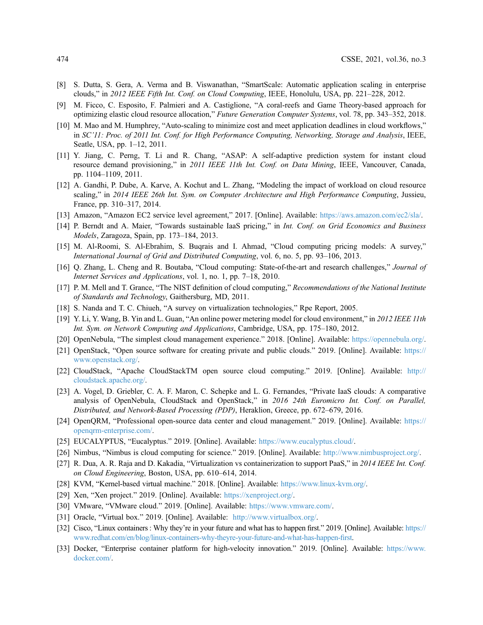- <span id="page-13-0"></span>[8] S. Dutta, S. Gera, A. Verma and B. Viswanathan, "SmartScale: Automatic application scaling in enterprise clouds," in 2012 IEEE Fifth Int. Conf. on Cloud Computing, IEEE, Honolulu, USA, pp. 221–228, 2012.
- <span id="page-13-1"></span>[9] M. Ficco, C. Esposito, F. Palmieri and A. Castiglione, "A coral-reefs and Game Theory-based approach for optimizing elastic cloud resource allocation," Future Generation Computer Systems, vol. 78, pp. 343–352, 2018.
- <span id="page-13-2"></span>[10] M. Mao and M. Humphrey, "Auto-scaling to minimize cost and meet application deadlines in cloud workflows," in SC'11: Proc. of 2011 Int. Conf. for High Performance Computing, Networking, Storage and Analysis, IEEE, Seatle, USA, pp. 1–12, 2011.
- <span id="page-13-3"></span>[11] Y. Jiang, C. Perng, T. Li and R. Chang, "ASAP: A self-adaptive prediction system for instant cloud resource demand provisioning," in 2011 IEEE 11th Int. Conf. on Data Mining, IEEE, Vancouver, Canada, pp. 1104–1109, 2011.
- <span id="page-13-4"></span>[12] A. Gandhi, P. Dube, A. Karve, A. Kochut and L. Zhang, "Modeling the impact of workload on cloud resource scaling," in 2014 IEEE 26th Int. Sym. on Computer Architecture and High Performance Computing, Jussieu, France, pp. 310–317, 2014.
- <span id="page-13-5"></span>[13] Amazon, "Amazon EC2 service level agreement," 2017. [Online]. Available: [https://aws.amazon.com/ec2/sla/.](https://aws.amazon.com/ec2/sla/)
- <span id="page-13-6"></span>[14] P. Berndt and A. Maier, "Towards sustainable IaaS pricing," in Int. Conf. on Grid Economics and Business Models, Zaragoza, Spain, pp. 173–184, 2013.
- <span id="page-13-7"></span>[15] M. Al-Roomi, S. Al-Ebrahim, S. Buqrais and I. Ahmad, "Cloud computing pricing models: A survey," International Journal of Grid and Distributed Computing, vol. 6, no. 5, pp. 93–106, 2013.
- <span id="page-13-8"></span>[16] Q. Zhang, L. Cheng and R. Boutaba, "Cloud computing: State-of-the-art and research challenges," Journal of Internet Services and Applications, vol. 1, no. 1, pp. 7–18, 2010.
- <span id="page-13-9"></span>[17] P. M. Mell and T. Grance, "The NIST definition of cloud computing," Recommendations of the National Institute of Standards and Technology, Gaithersburg, MD, 2011.
- <span id="page-13-10"></span>[18] S. Nanda and T. C. Chiueh, "A survey on virtualization technologies," Rpe Report, 2005.
- <span id="page-13-11"></span>[19] Y. Li, Y. Wang, B. Yin and L. Guan, "An online power metering model for cloud environment," in 2012 IEEE 11th Int. Sym. on Network Computing and Applications, Cambridge, USA, pp. 175–180, 2012.
- <span id="page-13-12"></span>[20] OpenNebula, "The simplest cloud management experience." 2018. [Online]. Available: [https://opennebula.org/.](https://opennebula.org/)
- <span id="page-13-13"></span>[21] OpenStack, "Open source software for creating private and public clouds." 2019. [Online]. Available: [https://](https://www.openstack.org/) [www.openstack.org/.](https://www.openstack.org/)
- <span id="page-13-14"></span>[22] CloudStack, "Apache CloudStackTM open source cloud computing." 2019. [Online]. Available: [http://](http://cloudstack.apache.org/) [cloudstack.apache.org/.](http://cloudstack.apache.org/)
- <span id="page-13-15"></span>[23] A. Vogel, D. Griebler, C. A. F. Maron, C. Schepke and L. G. Fernandes, "Private IaaS clouds: A comparative analysis of OpenNebula, CloudStack and OpenStack," in 2016 24th Euromicro Int. Conf. on Parallel, Distributed, and Network-Based Processing (PDP), Heraklion, Greece, pp. 672–679, 2016.
- <span id="page-13-16"></span>[24] OpenQRM, "Professional open-source data center and cloud management." 2019. [Online]. Available: [https://](https://openqrm-enterprise.com/) [openqrm-enterprise.com/.](https://openqrm-enterprise.com/)
- <span id="page-13-17"></span>[25] EUCALYPTUS, "Eucalyptus." 2019. [Online]. Available: [https://www.eucalyptus.cloud/.](https://www.eucalyptus.cloud/)
- <span id="page-13-18"></span>[26] Nimbus, "Nimbus is cloud computing for science." 2019. [Online]. Available: [http://www.nimbusproject.org/.](http://www.nimbusproject.org/)
- <span id="page-13-19"></span>[27] R. Dua, A. R. Raja and D. Kakadia, "Virtualization vs containerization to support PaaS," in 2014 IEEE Int. Conf. on Cloud Engineering, Boston, USA, pp. 610–614, 2014.
- <span id="page-13-20"></span>[28] KVM, "Kernel-based virtual machine." 2018. [Online]. Available: [https://www.linux-kvm.org/.](https://www.linux-kvm.org/)
- <span id="page-13-21"></span>[29] Xen, "Xen project." 2019. [Online]. Available: [https://xenproject.org/.](https://xenproject.org/)
- <span id="page-13-22"></span>[30] VMware, "VMware cloud." 2019. [Online]. Available: [https://www.vmware.com/.](https://www.vmware.com/)
- <span id="page-13-23"></span>[31] Oracle, "Virtual box." 2019. [Online]. Available: <http://www.virtualbox.org/>.
- <span id="page-13-24"></span>[32] Cisco, "Linux containers : Why they're in your future and what has to happen first." 2019. [Online]. Available: [https://](https://www.redhat.com/en/blog/linux-containers-why-theyre-your-future-and-what-has-happen-first) [www.redhat.com/en/blog/linux-containers-why-theyre-your-future-and-what-has-happen-](https://www.redhat.com/en/blog/linux-containers-why-theyre-your-future-and-what-has-happen-first)first.
- <span id="page-13-25"></span>[33] Docker, "Enterprise container platform for high-velocity innovation." 2019. [Online]. Available: [https://www.](https://www.docker.com/) [docker.com/.](https://www.docker.com/)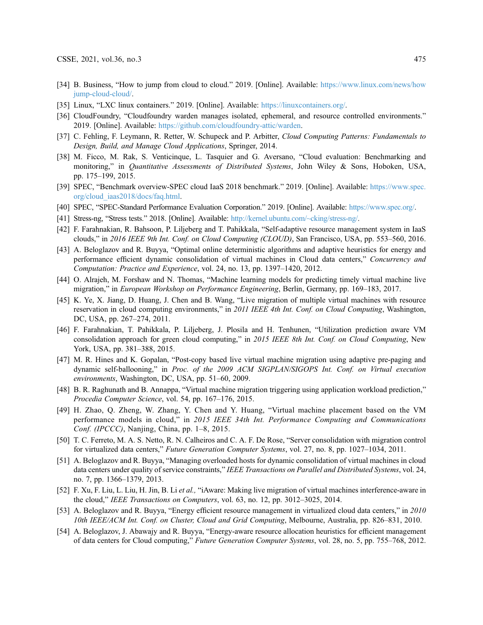- <span id="page-14-0"></span>[34] B. Business, "How to jump from cloud to cloud." 2019. [Online]. Available: [https://www.linux.com/news/how](https://www.linux.com/news/howjump-cloud-cloud/) [jump-cloud-cloud/](https://www.linux.com/news/howjump-cloud-cloud/).
- <span id="page-14-1"></span>[35] Linux, "LXC linux containers." 2019. [Online]. Available: [https://linuxcontainers.org/.](https://linuxcontainers.org/)
- <span id="page-14-2"></span>[36] CloudFoundry, "Cloudfoundry warden manages isolated, ephemeral, and resource controlled environments." 2019. [Online]. Available: <https://github.com/cloudfoundry-attic/warden>.
- <span id="page-14-3"></span>[37] C. Fehling, F. Leymann, R. Retter, W. Schupeck and P. Arbitter, Cloud Computing Patterns: Fundamentals to Design, Build, and Manage Cloud Applications, Springer, 2014.
- <span id="page-14-4"></span>[38] M. Ficco, M. Rak, S. Venticinque, L. Tasquier and G. Aversano, "Cloud evaluation: Benchmarking and monitoring," in *Quantitative Assessments of Distributed Systems*, John Wiley & Sons, Hoboken, USA, pp. 175–199, 2015.
- <span id="page-14-5"></span>[39] SPEC, "Benchmark overview-SPEC cloud IaaS 2018 benchmark." 2019. [Online]. Available: [https://www.spec.](https://www.spec.org/cloud_iaas2018/docs/faq.html) [org/cloud\\_iaas2018/docs/faq.html](https://www.spec.org/cloud_iaas2018/docs/faq.html).
- <span id="page-14-6"></span>[40] SPEC, "SPEC-Standard Performance Evaluation Corporation." 2019. [Online]. Available: [https://www.spec.org/.](https://www.spec.org/)
- <span id="page-14-7"></span>[41] Stress-ng, "Stress tests." 2018. [Online]. Available: [http://kernel.ubuntu.com/~cking/stress-ng/.](http://kernel.ubuntu.com/~cking/stress-ng/)
- <span id="page-14-8"></span>[42] F. Farahnakian, R. Bahsoon, P. Liljeberg and T. Pahikkala, "Self-adaptive resource management system in IaaS clouds," in 2016 IEEE 9th Int. Conf. on Cloud Computing (CLOUD), San Francisco, USA, pp. 553–560, 2016.
- <span id="page-14-9"></span>[43] A. Beloglazov and R. Buyya, "Optimal online deterministic algorithms and adaptive heuristics for energy and performance efficient dynamic consolidation of virtual machines in Cloud data centers," Concurrency and Computation: Practice and Experience, vol. 24, no. 13, pp. 1397–1420, 2012.
- <span id="page-14-10"></span>[44] O. Alrajeh, M. Forshaw and N. Thomas, "Machine learning models for predicting timely virtual machine live migration," in European Workshop on Performance Engineering, Berlin, Germany, pp. 169–183, 2017.
- <span id="page-14-11"></span>[45] K. Ye, X. Jiang, D. Huang, J. Chen and B. Wang, "Live migration of multiple virtual machines with resource reservation in cloud computing environments," in 2011 IEEE 4th Int. Conf. on Cloud Computing, Washington, DC, USA, pp. 267–274, 2011.
- <span id="page-14-12"></span>[46] F. Farahnakian, T. Pahikkala, P. Liljeberg, J. Plosila and H. Tenhunen, "Utilization prediction aware VM consolidation approach for green cloud computing," in 2015 IEEE 8th Int. Conf. on Cloud Computing, New York, USA, pp. 381–388, 2015.
- <span id="page-14-13"></span>[47] M. R. Hines and K. Gopalan, "Post-copy based live virtual machine migration using adaptive pre-paging and dynamic self-ballooning," in Proc. of the 2009 ACM SIGPLAN/SIGOPS Int. Conf. on Virtual execution environments, Washington, DC, USA, pp. 51–60, 2009.
- <span id="page-14-14"></span>[48] B. R. Raghunath and B. Annappa, "Virtual machine migration triggering using application workload prediction," Procedia Computer Science, vol. 54, pp. 167–176, 2015.
- <span id="page-14-15"></span>[49] H. Zhao, Q. Zheng, W. Zhang, Y. Chen and Y. Huang, "Virtual machine placement based on the VM performance models in cloud," in 2015 IEEE 34th Int. Performance Computing and Communications Conf. (IPCCC), Nanjing, China, pp. 1–8, 2015.
- <span id="page-14-16"></span>[50] T. C. Ferreto, M. A. S. Netto, R. N. Calheiros and C. A. F. De Rose, "Server consolidation with migration control for virtualized data centers," Future Generation Computer Systems, vol. 27, no. 8, pp. 1027–1034, 2011.
- <span id="page-14-17"></span>[51] A. Beloglazov and R. Buyya, "Managing overloaded hosts for dynamic consolidation of virtual machines in cloud data centers under quality of service constraints," IEEE Transactions on Parallel and Distributed Systems, vol. 24, no. 7, pp. 1366–1379, 2013.
- <span id="page-14-18"></span>[52] F. Xu, F. Liu, L. Liu, H. Jin, B. Li et al., "iAware: Making live migration of virtual machines interference-aware in the cloud," IEEE Transactions on Computers, vol. 63, no. 12, pp. 3012–3025, 2014.
- <span id="page-14-19"></span>[53] A. Beloglazov and R. Buyya, "Energy efficient resource management in virtualized cloud data centers," in 2010 10th IEEE/ACM Int. Conf. on Cluster, Cloud and Grid Computing, Melbourne, Australia, pp. 826–831, 2010.
- <span id="page-14-20"></span>[54] A. Beloglazov, J. Abawajy and R. Buyya, "Energy-aware resource allocation heuristics for efficient management of data centers for Cloud computing," Future Generation Computer Systems, vol. 28, no. 5, pp. 755–768, 2012.